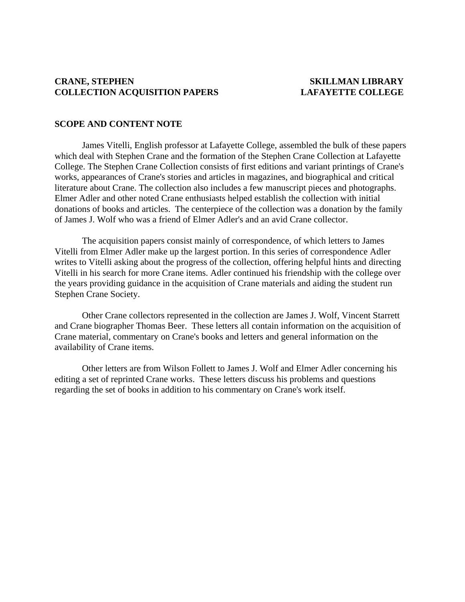### **CRANE, STEPHEN SKILLMAN LIBRARY COLLECTION ACQUISITION PAPERS LAFAYETTE COLLEGE**

### **SCOPE AND CONTENT NOTE**

 James Vitelli, English professor at Lafayette College, assembled the bulk of these papers which deal with Stephen Crane and the formation of the Stephen Crane Collection at Lafayette College. The Stephen Crane Collection consists of first editions and variant printings of Crane's works, appearances of Crane's stories and articles in magazines, and biographical and critical literature about Crane. The collection also includes a few manuscript pieces and photographs. Elmer Adler and other noted Crane enthusiasts helped establish the collection with initial donations of books and articles. The centerpiece of the collection was a donation by the family of James J. Wolf who was a friend of Elmer Adler's and an avid Crane collector.

 The acquisition papers consist mainly of correspondence, of which letters to James Vitelli from Elmer Adler make up the largest portion. In this series of correspondence Adler writes to Vitelli asking about the progress of the collection, offering helpful hints and directing Vitelli in his search for more Crane items. Adler continued his friendship with the college over the years providing guidance in the acquisition of Crane materials and aiding the student run Stephen Crane Society.

 Other Crane collectors represented in the collection are James J. Wolf, Vincent Starrett and Crane biographer Thomas Beer. These letters all contain information on the acquisition of Crane material, commentary on Crane's books and letters and general information on the availability of Crane items.

 Other letters are from Wilson Follett to James J. Wolf and Elmer Adler concerning his editing a set of reprinted Crane works. These letters discuss his problems and questions regarding the set of books in addition to his commentary on Crane's work itself.